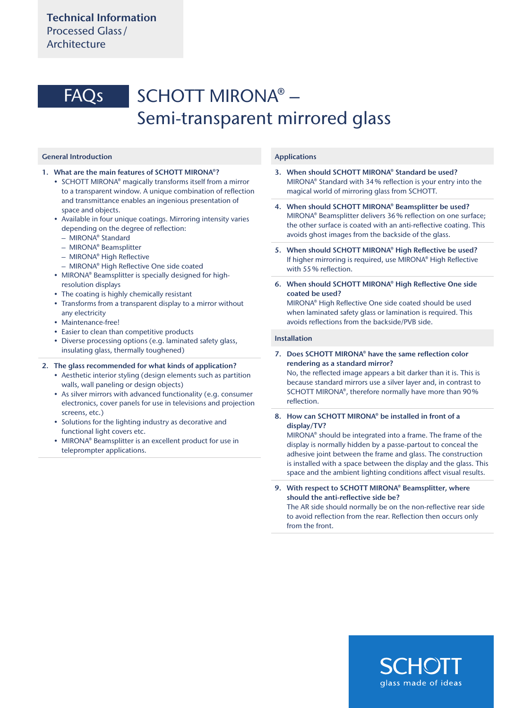# SCHOTT MIRONA® – Semi-transparent mirrored glass FAQs

# General Introduction

- 1. What are the main features of SCHOTT MIRONA®?
	- SCHOTT MIRONA® magically transforms itself from a mirror to a transparent window. A unique combination of reflection and transmittance enables an ingenious presentation of space and objects.
	- Available in four unique coatings. Mirroring intensity varies depending on the degree of reflection:
		- MIRONA® Standard
		- MIRONA® Beamsplitter
	- MIRONA® High Reflective
	- MIRONA® High Reflective One side coated
	- MIRONA® Beamsplitter is specially designed for highresolution displays
	- The coating is highly chemically resistant
	- Transforms from a transparent display to a mirror without any electricity
	- Maintenance-free!
	- Easier to clean than competitive products
	- Diverse processing options (e.g. laminated safety glass, insulating glass, thermally toughened)

#### 2. The glass recommended for what kinds of application?

- Aesthetic interior styling (design elements such as partition walls, wall paneling or design objects)
- As silver mirrors with advanced functionality (e.g. consumer electronics, cover panels for use in televisions and projection screens, etc.)
- Solutions for the lighting industry as decorative and functional light covers etc.
- MIRONA® Beamsplitter is an excellent product for use in teleprompter applications.

## Applications

- 3. When should SCHOTT MIRONA® Standard be used? MIRONA® Standard with 34% reflection is your entry into the magical world of mirroring glass from SCHOTT.
- 4. When should SCHOTT MIRONA® Beamsplitter be used? MIRONA® Beamsplitter delivers 36% reflection on one surface; the other surface is coated with an anti-reflective coating. This avoids ghost images from the backside of the glass.
- 5. When should SCHOTT MIRONA® High Reflective be used? If higher mirroring is required, use MIRONA® High Reflective with 55% reflection.
- 6. When should SCHOTT MIRONA® High Reflective One side coated be used?

MIRONA® High Reflective One side coated should be used when laminated safety glass or lamination is required. This avoids reflections from the backside/PVB side.

#### Installation

## 7. Does SCHOTT MIRONA® have the same reflection color rendering as a standard mirror?

No, the reflected image appears a bit darker than it is. This is because standard mirrors use a silver layer and, in contrast to SCHOTT MIRONA®, therefore normally have more than 90% reflection.

# 8. How can SCHOTT MIRONA® be installed in front of a display/TV?

MIRONA® should be integrated into a frame. The frame of the display is normally hidden by a passe-partout to conceal the adhesive joint between the frame and glass. The construction is installed with a space between the display and the glass. This space and the ambient lighting conditions affect visual results.

9. With respect to SCHOTT MIRONA® Beamsplitter, where should the anti-reflective side be?

The AR side should normally be on the non-reflective rear side to avoid reflection from the rear. Reflection then occurs only from the front.